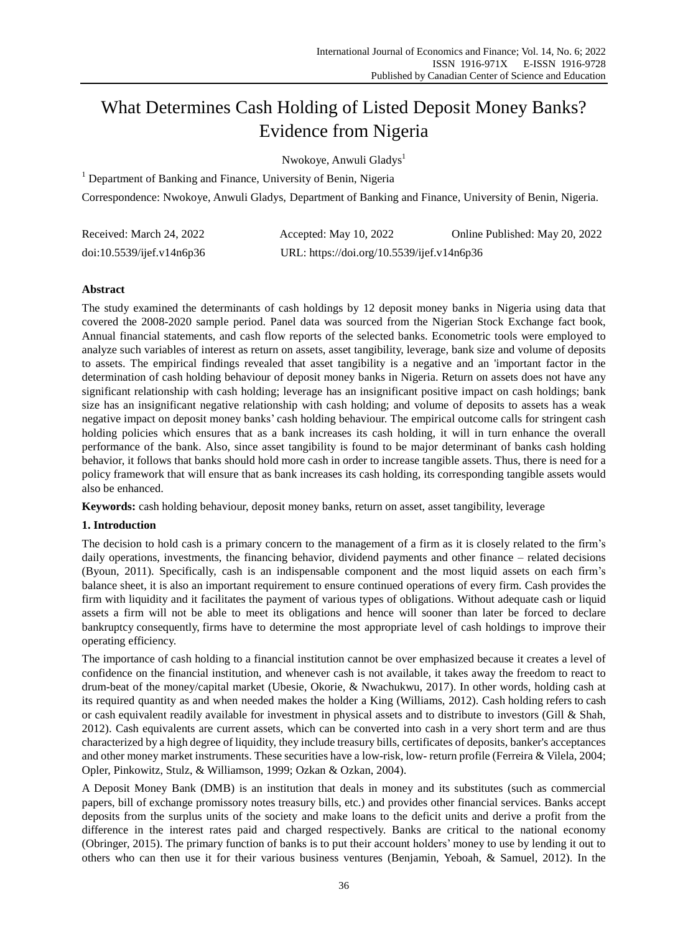# What Determines Cash Holding of Listed Deposit Money Banks? Evidence from Nigeria

Nwokoye, Anwuli Gladys<sup>1</sup>

 $1$  Department of Banking and Finance, University of Benin, Nigeria

Correspondence: Nwokoye, Anwuli Gladys, Department of Banking and Finance, University of Benin, Nigeria.

| Received: March 24, 2022  | Accepted: May 10, 2022                     | Online Published: May 20, 2022 |
|---------------------------|--------------------------------------------|--------------------------------|
| doi:10.5539/ijef.v14n6p36 | URL: https://doi.org/10.5539/ijef.v14n6p36 |                                |

# **Abstract**

The study examined the determinants of cash holdings by 12 deposit money banks in Nigeria using data that covered the 2008-2020 sample period. Panel data was sourced from the Nigerian Stock Exchange fact book, Annual financial statements, and cash flow reports of the selected banks. Econometric tools were employed to analyze such variables of interest as return on assets, asset tangibility, leverage, bank size and volume of deposits to assets. The empirical findings revealed that asset tangibility is a negative and an 'important factor in the determination of cash holding behaviour of deposit money banks in Nigeria. Return on assets does not have any significant relationship with cash holding; leverage has an insignificant positive impact on cash holdings; bank size has an insignificant negative relationship with cash holding; and volume of deposits to assets has a weak negative impact on deposit money banks' cash holding behaviour. The empirical outcome calls for stringent cash holding policies which ensures that as a bank increases its cash holding, it will in turn enhance the overall performance of the bank. Also, since asset tangibility is found to be major determinant of banks cash holding behavior, it follows that banks should hold more cash in order to increase tangible assets. Thus, there is need for a policy framework that will ensure that as bank increases its cash holding, its corresponding tangible assets would also be enhanced.

**Keywords:** cash holding behaviour, deposit money banks, return on asset, asset tangibility, leverage

## **1. Introduction**

The decision to hold cash is a primary concern to the management of a firm as it is closely related to the firm's daily operations, investments, the financing behavior, dividend payments and other finance – related decisions (Byoun, 2011). Specifically, cash is an indispensable component and the most liquid assets on each firm's balance sheet, it is also an important requirement to ensure continued operations of every firm. Cash provides the firm with liquidity and it facilitates the payment of various types of obligations. Without adequate cash or liquid assets a firm will not be able to meet its obligations and hence will sooner than later be forced to declare bankruptcy consequently, firms have to determine the most appropriate level of cash holdings to improve their operating efficiency.

The importance of cash holding to a financial institution cannot be over emphasized because it creates a level of confidence on the financial institution, and whenever cash is not available, it takes away the freedom to react to drum-beat of the money/capital market (Ubesie, Okorie, & Nwachukwu, 2017). In other words, holding cash at its required quantity as and when needed makes the holder a King (Williams, 2012). Cash holding refers to cash or cash equivalent readily available for investment in physical assets and to distribute to investors (Gill & Shah, 2012). Cash equivalents are current assets, which can be converted into cash in a very short term and are thus characterized by a high degree of liquidity, they include treasury bills, certificates of deposits, banker's acceptances and other money market instruments. These securities have a low-risk, low- return profile (Ferreira & Vilela, 2004; Opler, Pinkowitz, Stulz, & Williamson, 1999; Ozkan & Ozkan, 2004).

A Deposit Money Bank (DMB) is an institution that deals in money and its substitutes (such as commercial papers, bill of exchange promissory notes treasury bills, etc.) and provides other financial services. Banks accept deposits from the surplus units of the society and make loans to the deficit units and derive a profit from the difference in the interest rates paid and charged respectively. Banks are critical to the national economy (Obringer, 2015). The primary function of banks is to put their account holders' money to use by lending it out to others who can then use it for their various business ventures (Benjamin, Yeboah, & Samuel, 2012). In the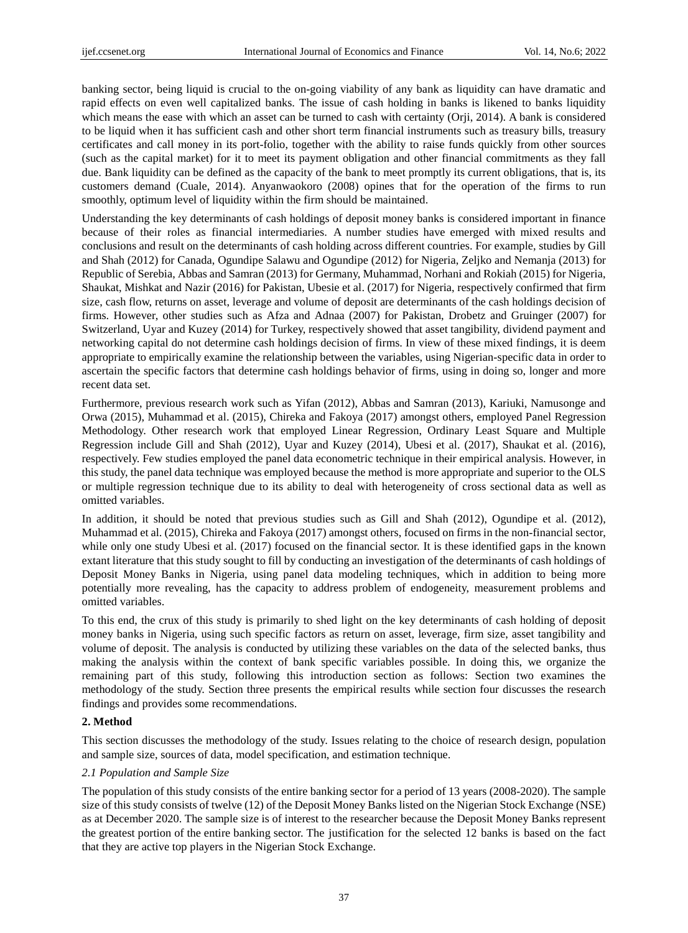banking sector, being liquid is crucial to the on-going viability of any bank as liquidity can have dramatic and rapid effects on even well capitalized banks. The issue of cash holding in banks is likened to banks liquidity which means the ease with which an asset can be turned to cash with certainty (Orji, 2014). A bank is considered to be liquid when it has sufficient cash and other short term financial instruments such as treasury bills, treasury certificates and call money in its port-folio, together with the ability to raise funds quickly from other sources (such as the capital market) for it to meet its payment obligation and other financial commitments as they fall due. Bank liquidity can be defined as the capacity of the bank to meet promptly its current obligations, that is, its customers demand (Cuale, 2014). Anyanwaokoro (2008) opines that for the operation of the firms to run smoothly, optimum level of liquidity within the firm should be maintained.

Understanding the key determinants of cash holdings of deposit money banks is considered important in finance because of their roles as financial intermediaries. A number studies have emerged with mixed results and conclusions and result on the determinants of cash holding across different countries. For example, studies by Gill and Shah (2012) for Canada, Ogundipe Salawu and Ogundipe (2012) for Nigeria, Zeljko and Nemanja (2013) for Republic of Serebia, Abbas and Samran (2013) for Germany, Muhammad, Norhani and Rokiah (2015) for Nigeria, Shaukat, Mishkat and Nazir (2016) for Pakistan, Ubesie et al. (2017) for Nigeria, respectively confirmed that firm size, cash flow, returns on asset, leverage and volume of deposit are determinants of the cash holdings decision of firms. However, other studies such as Afza and Adnaa (2007) for Pakistan, Drobetz and Gruinger (2007) for Switzerland, Uyar and Kuzey (2014) for Turkey, respectively showed that asset tangibility, dividend payment and networking capital do not determine cash holdings decision of firms. In view of these mixed findings, it is deem appropriate to empirically examine the relationship between the variables, using Nigerian-specific data in order to ascertain the specific factors that determine cash holdings behavior of firms, using in doing so, longer and more recent data set.

Furthermore, previous research work such as Yifan (2012), Abbas and Samran (2013), Kariuki, Namusonge and Orwa (2015), Muhammad et al. (2015), Chireka and Fakoya (2017) amongst others, employed Panel Regression Methodology. Other research work that employed Linear Regression, Ordinary Least Square and Multiple Regression include Gill and Shah (2012), Uyar and Kuzey (2014), Ubesi et al. (2017), Shaukat et al. (2016), respectively. Few studies employed the panel data econometric technique in their empirical analysis. However, in this study, the panel data technique was employed because the method is more appropriate and superior to the OLS or multiple regression technique due to its ability to deal with heterogeneity of cross sectional data as well as omitted variables.

In addition, it should be noted that previous studies such as Gill and Shah (2012), Ogundipe et al. (2012), Muhammad et al. (2015), Chireka and Fakoya (2017) amongst others, focused on firms in the non-financial sector, while only one study Ubesi et al. (2017) focused on the financial sector. It is these identified gaps in the known extant literature that this study sought to fill by conducting an investigation of the determinants of cash holdings of Deposit Money Banks in Nigeria, using panel data modeling techniques, which in addition to being more potentially more revealing, has the capacity to address problem of endogeneity, measurement problems and omitted variables.

To this end, the crux of this study is primarily to shed light on the key determinants of cash holding of deposit money banks in Nigeria, using such specific factors as return on asset, leverage, firm size, asset tangibility and volume of deposit. The analysis is conducted by utilizing these variables on the data of the selected banks, thus making the analysis within the context of bank specific variables possible. In doing this, we organize the remaining part of this study, following this introduction section as follows: Section two examines the methodology of the study. Section three presents the empirical results while section four discusses the research findings and provides some recommendations.

# **2. Method**

This section discusses the methodology of the study. Issues relating to the choice of research design, population and sample size, sources of data, model specification, and estimation technique.

## *2.1 Population and Sample Size*

The population of this study consists of the entire banking sector for a period of 13 years (2008-2020). The sample size of this study consists of twelve (12) of the Deposit Money Banks listed on the Nigerian Stock Exchange (NSE) as at December 2020. The sample size is of interest to the researcher because the Deposit Money Banks represent the greatest portion of the entire banking sector. The justification for the selected 12 banks is based on the fact that they are active top players in the Nigerian Stock Exchange.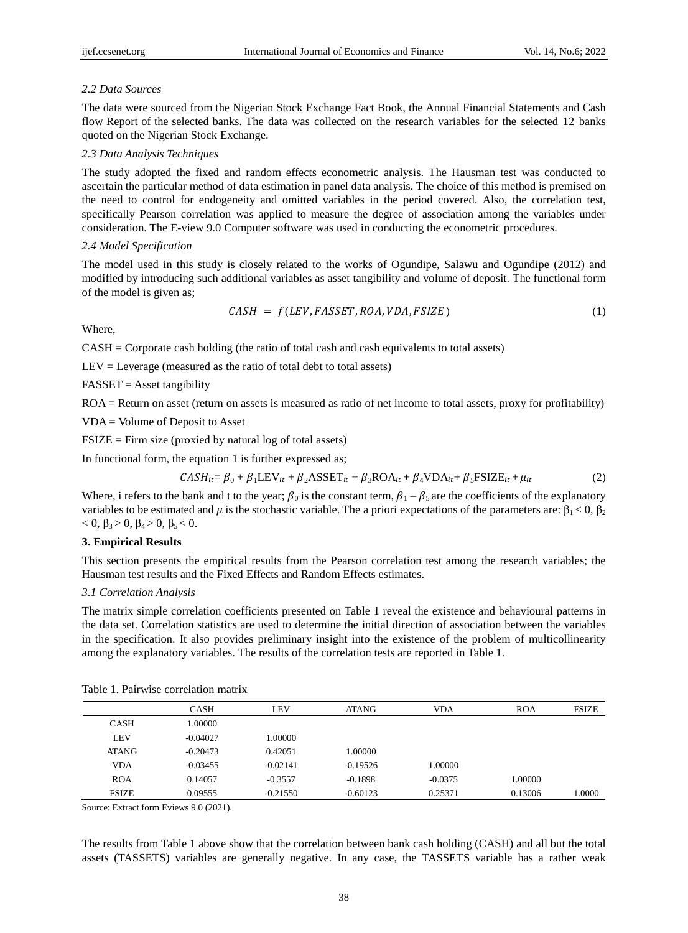## *2.2 Data Sources*

The data were sourced from the Nigerian Stock Exchange Fact Book, the Annual Financial Statements and Cash flow Report of the selected banks. The data was collected on the research variables for the selected 12 banks quoted on the Nigerian Stock Exchange.

## *2.3 Data Analysis Techniques*

The study adopted the fixed and random effects econometric analysis. The Hausman test was conducted to ascertain the particular method of data estimation in panel data analysis. The choice of this method is premised on the need to control for endogeneity and omitted variables in the period covered. Also, the correlation test, specifically Pearson correlation was applied to measure the degree of association among the variables under consideration. The E-view 9.0 Computer software was used in conducting the econometric procedures.

#### *2.4 Model Specification*

The model used in this study is closely related to the works of Ogundipe, Salawu and Ogundipe (2012) and modified by introducing such additional variables as asset tangibility and volume of deposit. The functional form of the model is given as;

$$
CASH = f(LEV, FASSET, ROA, VDA, FSIZE)
$$
\n(1)

Where,

CASH = Corporate cash holding (the ratio of total cash and cash equivalents to total assets)

 $LEV = Leverage$  (measured as the ratio of total debt to total assets)

 $FASSET = Asset$  *tangibility*

ROA = Return on asset (return on assets is measured as ratio of net income to total assets, proxy for profitability)

VDA = Volume of Deposit to Asset

 $FSIZE = Firm size (provided by natural log of total assets)$ 

In functional form, the equation 1 is further expressed as;

$$
CASH_{it} = \beta_0 + \beta_1 LEV_{it} + \beta_2 ASSET_{it} + \beta_3 ROA_{it} + \beta_4 VDA_{it} + \beta_5 FSIZE_{it} + \mu_{it}
$$
 (2)

Where, i refers to the bank and t to the year;  $\beta_0$  is the constant term,  $\beta_1 - \beta_5$  are the coefficients of the explanatory variables to be estimated and  $\mu$  is the stochastic variable. The a priori expectations of the parameters are:  $\beta_1 < 0$ ,  $\beta_2$  $< 0, \beta_3 > 0, \beta_4 > 0, \beta_5 < 0.$ 

# **3. Empirical Results**

This section presents the empirical results from the Pearson correlation test among the research variables; the Hausman test results and the Fixed Effects and Random Effects estimates.

#### *3.1 Correlation Analysis*

The matrix simple correlation coefficients presented on Table 1 reveal the existence and behavioural patterns in the data set. Correlation statistics are used to determine the initial direction of association between the variables in the specification. It also provides preliminary insight into the existence of the problem of multicollinearity among the explanatory variables. The results of the correlation tests are reported in Table 1.

|              | <b>CASH</b> | LEV        | <b>ATANG</b> | <b>VDA</b> | <b>ROA</b> | <b>FSIZE</b> |
|--------------|-------------|------------|--------------|------------|------------|--------------|
| <b>CASH</b>  | 1.00000     |            |              |            |            |              |
| LEV          | $-0.04027$  | 1.00000    |              |            |            |              |
| <b>ATANG</b> | $-0.20473$  | 0.42051    | 1.00000      |            |            |              |
| <b>VDA</b>   | $-0.03455$  | $-0.02141$ | $-0.19526$   | 1.00000    |            |              |
| <b>ROA</b>   | 0.14057     | $-0.3557$  | $-0.1898$    | $-0.0375$  | 1.00000    |              |
| <b>FSIZE</b> | 0.09555     | $-0.21550$ | $-0.60123$   | 0.25371    | 0.13006    | 1.0000       |

Table 1. Pairwise correlation matrix

Source: Extract form Eviews 9.0 (2021).

The results from Table 1 above show that the correlation between bank cash holding (CASH) and all but the total assets (TASSETS) variables are generally negative. In any case, the TASSETS variable has a rather weak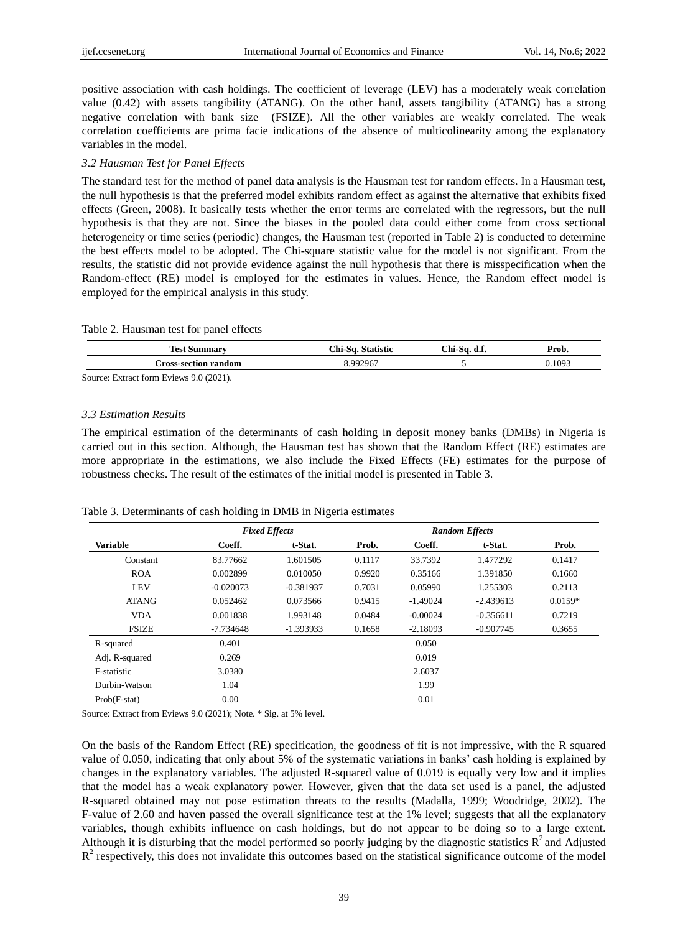positive association with cash holdings. The coefficient of leverage (LEV) has a moderately weak correlation value (0.42) with assets tangibility (ATANG). On the other hand, assets tangibility (ATANG) has a strong negative correlation with bank size (FSIZE). All the other variables are weakly correlated. The weak correlation coefficients are prima facie indications of the absence of multicolinearity among the explanatory variables in the model.

## *3.2 Hausman Test for Panel Effects*

The standard test for the method of panel data analysis is the Hausman test for random effects. In a Hausman test, the null hypothesis is that the preferred model exhibits random effect as against the alternative that exhibits fixed effects (Green, 2008). It basically tests whether the error terms are correlated with the regressors, but the null hypothesis is that they are not. Since the biases in the pooled data could either come from cross sectional heterogeneity or time series (periodic) changes, the Hausman test (reported in Table 2) is conducted to determine the best effects model to be adopted. The Chi-square statistic value for the model is not significant. From the results, the statistic did not provide evidence against the null hypothesis that there is misspecification when the Random-effect (RE) model is employed for the estimates in values. Hence, the Random effect model is employed for the empirical analysis in this study.

### Table 2. Hausman test for panel effects

| <b>Test Summary</b>         | Chi-Sa. Statistic | Chi-Sa.<br>d.f. | Prob.  |
|-----------------------------|-------------------|-----------------|--------|
| <b>Cross-section random</b> | .992967           |                 | 0.1093 |
| --<br>.                     |                   |                 |        |

Source: Extract form Eviews 9.0 (2021).

## *3.3 Estimation Results*

The empirical estimation of the determinants of cash holding in deposit money banks (DMBs) in Nigeria is carried out in this section. Although, the Hausman test has shown that the Random Effect (RE) estimates are more appropriate in the estimations, we also include the Fixed Effects (FE) estimates for the purpose of robustness checks. The result of the estimates of the initial model is presented in Table 3.

### Table 3. Determinants of cash holding in DMB in Nigeria estimates

|                 |             | <b>Fixed Effects</b> |        |            | <b>Random Effects</b> |           |
|-----------------|-------------|----------------------|--------|------------|-----------------------|-----------|
| <b>Variable</b> | Coeff.      | t-Stat.              | Prob.  | Coeff.     | t-Stat.               | Prob.     |
| Constant        | 83.77662    | 1.601505             | 0.1117 | 33.7392    | 1.477292              | 0.1417    |
| <b>ROA</b>      | 0.002899    | 0.010050             | 0.9920 | 0.35166    | 1.391850              | 0.1660    |
| <b>LEV</b>      | $-0.020073$ | $-0.381937$          | 0.7031 | 0.05990    | 1.255303              | 0.2113    |
| <b>ATANG</b>    | 0.052462    | 0.073566             | 0.9415 | $-1.49024$ | $-2.439613$           | $0.0159*$ |
| <b>VDA</b>      | 0.001838    | 1.993148             | 0.0484 | $-0.00024$ | $-0.356611$           | 0.7219    |
| <b>FSIZE</b>    | $-7.734648$ | $-1.393933$          | 0.1658 | $-2.18093$ | $-0.907745$           | 0.3655    |
| R-squared       | 0.401       |                      |        | 0.050      |                       |           |
| Adj. R-squared  | 0.269       |                      |        | 0.019      |                       |           |
| F-statistic     | 3.0380      |                      |        | 2.6037     |                       |           |
| Durbin-Watson   | 1.04        |                      |        | 1.99       |                       |           |
| $Prob(F-stat)$  | 0.00        |                      |        | 0.01       |                       |           |

Source: Extract from Eviews 9.0 (2021); Note. \* Sig. at 5% level.

On the basis of the Random Effect (RE) specification, the goodness of fit is not impressive, with the R squared value of 0.050, indicating that only about 5% of the systematic variations in banks' cash holding is explained by changes in the explanatory variables. The adjusted R-squared value of 0.019 is equally very low and it implies that the model has a weak explanatory power. However, given that the data set used is a panel, the adjusted R-squared obtained may not pose estimation threats to the results (Madalla, 1999; Woodridge, 2002). The F-value of 2.60 and haven passed the overall significance test at the 1% level; suggests that all the explanatory variables, though exhibits influence on cash holdings, but do not appear to be doing so to a large extent. Although it is disturbing that the model performed so poorly judging by the diagnostic statistics  $R^2$  and Adjusted  $R<sup>2</sup>$  respectively, this does not invalidate this outcomes based on the statistical significance outcome of the model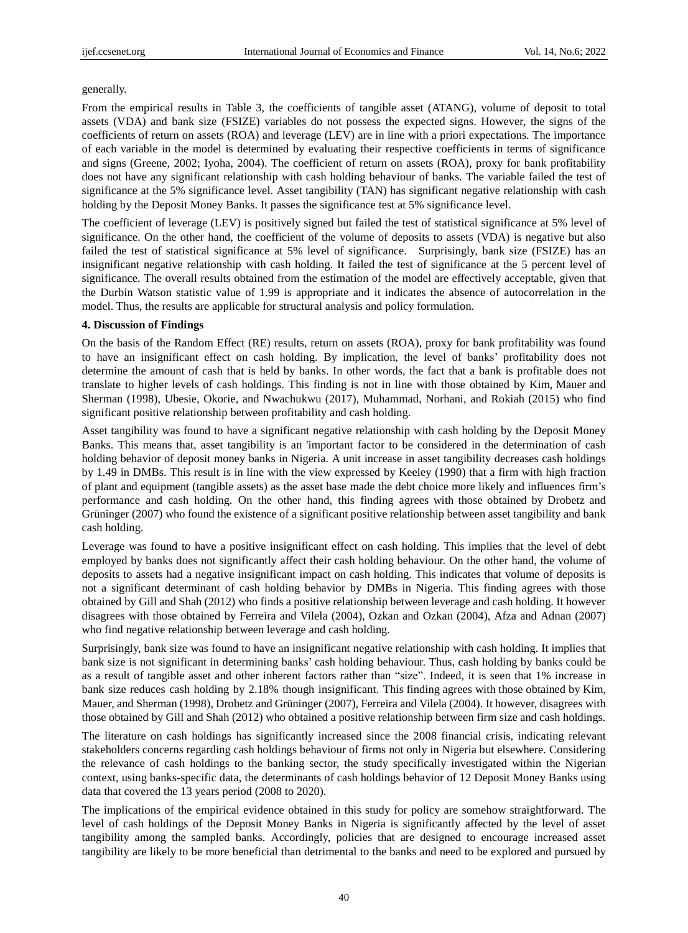## generally.

From the empirical results in Table 3, the coefficients of tangible asset (ATANG), volume of deposit to total assets (VDA) and bank size (FSIZE) variables do not possess the expected signs. However, the signs of the coefficients of return on assets (ROA) and leverage (LEV) are in line with a priori expectations. The importance of each variable in the model is determined by evaluating their respective coefficients in terms of significance and signs (Greene, 2002; Iyoha, 2004). The coefficient of return on assets (ROA), proxy for bank profitability does not have any significant relationship with cash holding behaviour of banks. The variable failed the test of significance at the 5% significance level. Asset tangibility (TAN) has significant negative relationship with cash holding by the Deposit Money Banks. It passes the significance test at 5% significance level.

The coefficient of leverage (LEV) is positively signed but failed the test of statistical significance at 5% level of significance. On the other hand, the coefficient of the volume of deposits to assets (VDA) is negative but also failed the test of statistical significance at 5% level of significance. Surprisingly, bank size (FSIZE) has an insignificant negative relationship with cash holding. It failed the test of significance at the 5 percent level of significance. The overall results obtained from the estimation of the model are effectively acceptable, given that the Durbin Watson statistic value of 1.99 is appropriate and it indicates the absence of autocorrelation in the model. Thus, the results are applicable for structural analysis and policy formulation.

## **4. Discussion of Findings**

On the basis of the Random Effect (RE) results, return on assets (ROA), proxy for bank profitability was found to have an insignificant effect on cash holding. By implication, the level of banks' profitability does not determine the amount of cash that is held by banks. In other words, the fact that a bank is profitable does not translate to higher levels of cash holdings. This finding is not in line with those obtained by Kim, Mauer and Sherman (1998), Ubesie, Okorie, and Nwachukwu (2017), Muhammad, Norhani, and Rokiah (2015) who find significant positive relationship between profitability and cash holding.

Asset tangibility was found to have a significant negative relationship with cash holding by the Deposit Money Banks. This means that, asset tangibility is an 'important factor to be considered in the determination of cash holding behavior of deposit money banks in Nigeria. A unit increase in asset tangibility decreases cash holdings by 1.49 in DMBs. This result is in line with the view expressed by Keeley (1990) that a firm with high fraction of plant and equipment (tangible assets) as the asset base made the debt choice more likely and influences firm's performance and cash holding. On the other hand, this finding agrees with those obtained by Drobetz and Grüninger (2007) who found the existence of a significant positive relationship between asset tangibility and bank cash holding.

Leverage was found to have a positive insignificant effect on cash holding. This implies that the level of debt employed by banks does not significantly affect their cash holding behaviour. On the other hand, the volume of deposits to assets had a negative insignificant impact on cash holding. This indicates that volume of deposits is not a significant determinant of cash holding behavior by DMBs in Nigeria. This finding agrees with those obtained by Gill and Shah (2012) who finds a positive relationship between leverage and cash holding. It however disagrees with those obtained by Ferreira and Vilela (2004), Ozkan and Ozkan (2004), Afza and Adnan (2007) who find negative relationship between leverage and cash holding.

Surprisingly, bank size was found to have an insignificant negative relationship with cash holding. It implies that bank size is not significant in determining banks' cash holding behaviour. Thus, cash holding by banks could be as a result of tangible asset and other inherent factors rather than "size". Indeed, it is seen that 1% increase in bank size reduces cash holding by 2.18% though insignificant. This finding agrees with those obtained by Kim, Mauer, and Sherman (1998), Drobetz and Grüninger (2007), Ferreira and Vilela (2004). It however, disagrees with those obtained by Gill and Shah (2012) who obtained a positive relationship between firm size and cash holdings.

The literature on cash holdings has significantly increased since the 2008 financial crisis, indicating relevant stakeholders concerns regarding cash holdings behaviour of firms not only in Nigeria but elsewhere. Considering the relevance of cash holdings to the banking sector, the study specifically investigated within the Nigerian context, using banks-specific data, the determinants of cash holdings behavior of 12 Deposit Money Banks using data that covered the 13 years period (2008 to 2020).

The implications of the empirical evidence obtained in this study for policy are somehow straightforward. The level of cash holdings of the Deposit Money Banks in Nigeria is significantly affected by the level of asset tangibility among the sampled banks. Accordingly, policies that are designed to encourage increased asset tangibility are likely to be more beneficial than detrimental to the banks and need to be explored and pursued by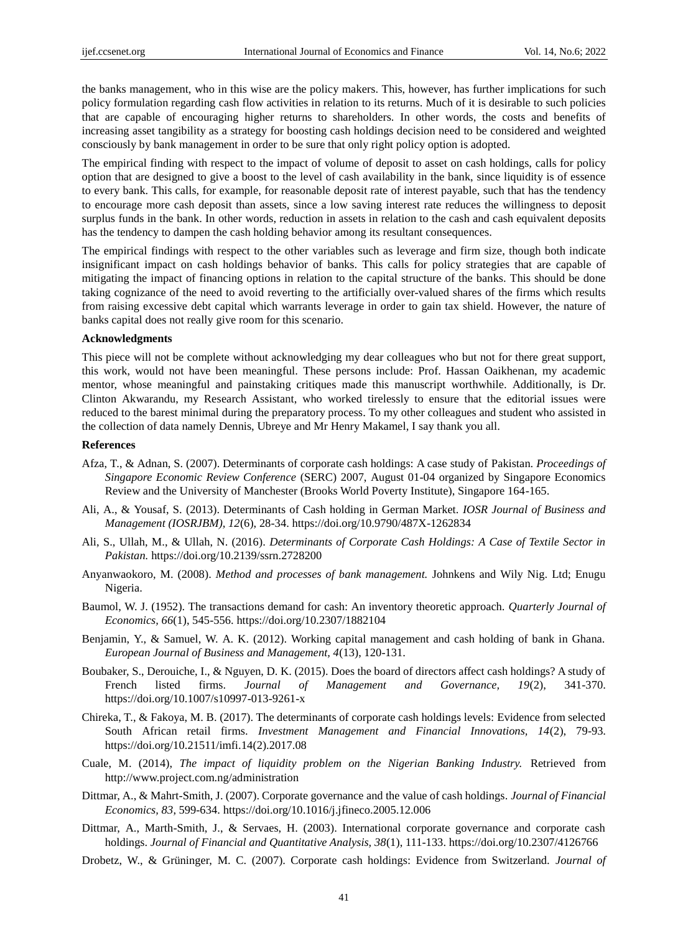the banks management, who in this wise are the policy makers. This, however, has further implications for such policy formulation regarding cash flow activities in relation to its returns. Much of it is desirable to such policies that are capable of encouraging higher returns to shareholders. In other words, the costs and benefits of increasing asset tangibility as a strategy for boosting cash holdings decision need to be considered and weighted consciously by bank management in order to be sure that only right policy option is adopted.

The empirical finding with respect to the impact of volume of deposit to asset on cash holdings, calls for policy option that are designed to give a boost to the level of cash availability in the bank, since liquidity is of essence to every bank. This calls, for example, for reasonable deposit rate of interest payable, such that has the tendency to encourage more cash deposit than assets, since a low saving interest rate reduces the willingness to deposit surplus funds in the bank. In other words, reduction in assets in relation to the cash and cash equivalent deposits has the tendency to dampen the cash holding behavior among its resultant consequences.

The empirical findings with respect to the other variables such as leverage and firm size, though both indicate insignificant impact on cash holdings behavior of banks. This calls for policy strategies that are capable of mitigating the impact of financing options in relation to the capital structure of the banks. This should be done taking cognizance of the need to avoid reverting to the artificially over-valued shares of the firms which results from raising excessive debt capital which warrants leverage in order to gain tax shield. However, the nature of banks capital does not really give room for this scenario.

### **Acknowledgments**

This piece will not be complete without acknowledging my dear colleagues who but not for there great support, this work, would not have been meaningful. These persons include: Prof. Hassan Oaikhenan, my academic mentor, whose meaningful and painstaking critiques made this manuscript worthwhile. Additionally, is Dr. Clinton Akwarandu, my Research Assistant, who worked tirelessly to ensure that the editorial issues were reduced to the barest minimal during the preparatory process. To my other colleagues and student who assisted in the collection of data namely Dennis, Ubreye and Mr Henry Makamel, I say thank you all.

#### **References**

- Afza, T., & Adnan, S. (2007). Determinants of corporate cash holdings: A case study of Pakistan. *Proceedings of Singapore Economic Review Conference* (SERC) 2007, August 01-04 organized by Singapore Economics Review and the University of Manchester (Brooks World Poverty Institute), Singapore 164-165.
- Ali, A., & Yousaf, S. (2013). Determinants of Cash holding in German Market. *IOSR Journal of Business and Management (IOSRJBM), 12*(6), 28-34. https://doi.org/10.9790/487X-1262834
- Ali, S., Ullah, M., & Ullah, N. (2016). *Determinants of Corporate Cash Holdings: A Case of Textile Sector in Pakistan.* https://doi.org/10.2139/ssrn.2728200
- Anyanwaokoro, M. (2008). *Method and processes of bank management.* Johnkens and Wily Nig. Ltd; Enugu Nigeria.
- Baumol, W. J. (1952). The transactions demand for cash: An inventory theoretic approach. *Quarterly Journal of Economics, 66*(1), 545-556. https://doi.org/10.2307/1882104
- Benjamin, Y., & Samuel, W. A. K. (2012). Working capital management and cash holding of bank in Ghana. *European Journal of Business and Management, 4*(13), 120-131.
- Boubaker, S., Derouiche, I., & Nguyen, D. K. (2015). Does the board of directors affect cash holdings? A study of French listed firms. *Journal of Management and Governance, 19*(2), 341-370. https://doi.org/10.1007/s10997-013-9261-x
- Chireka, T., & Fakoya, M. B. (2017). The determinants of corporate cash holdings levels: Evidence from selected South African retail firms. *Investment Management and Financial Innovations, 14*(2), 79-93. https://doi.org/10.21511/imfi.14(2).2017.08
- Cuale, M. (2014), *The impact of liquidity problem on the Nigerian Banking Industry.* Retrieved from http://www.project.com.ng/administration
- Dittmar, A., & Mahrt-Smith, J. (2007). Corporate governance and the value of cash holdings. *Journal of Financial Economics, 83*, 599-634. https://doi.org/10.1016/j.jfineco.2005.12.006
- Dittmar, A., Marth-Smith, J., & Servaes, H. (2003). International corporate governance and corporate cash holdings. *Journal of Financial and Quantitative Analysis, 38*(1), 111-133. https://doi.org/10.2307/4126766
- Drobetz, W., & Grüninger, M. C. (2007). Corporate cash holdings: Evidence from Switzerland. *Journal of*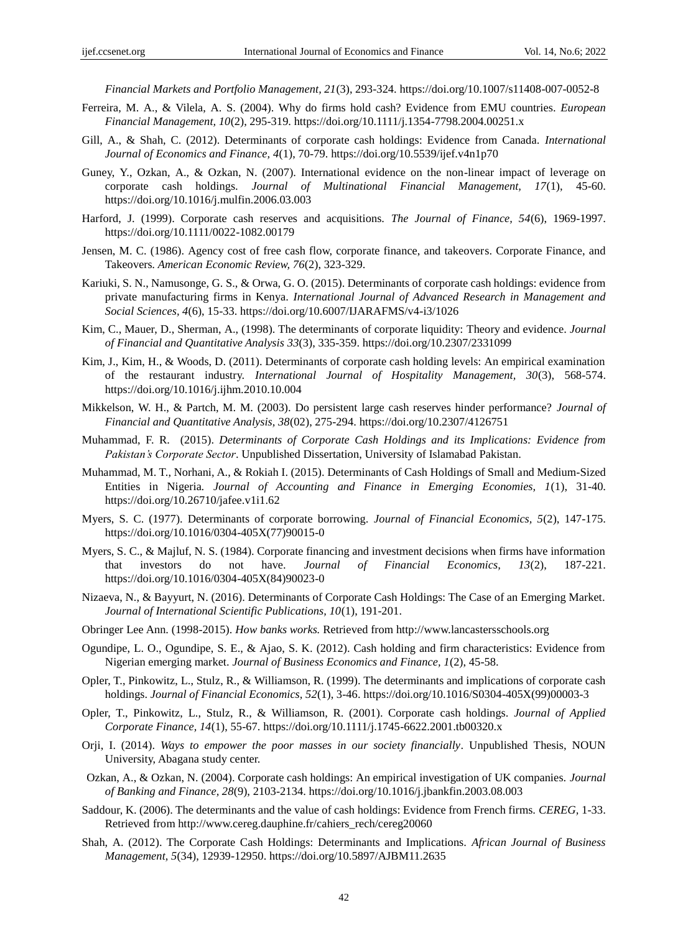*Financial Markets and Portfolio Management, 21*(3), 293-324. https://doi.org/10.1007/s11408-007-0052-8

- Ferreira, M. A., & Vilela, A. S. (2004). Why do firms hold cash? Evidence from EMU countries. *European Financial Management, 10*(2), 295-319. https://doi.org/10.1111/j.1354-7798.2004.00251.x
- Gill, A., & Shah, C. (2012). Determinants of corporate cash holdings: Evidence from Canada. *International Journal of Economics and Finance, 4*(1), 70-79. https://doi.org/10.5539/ijef.v4n1p70
- Guney, Y., Ozkan, A., & Ozkan, N. (2007). International evidence on the non-linear impact of leverage on corporate cash holdings*. Journal of Multinational Financial Management, 17*(1), 45-60. https://doi.org/10.1016/j.mulfin.2006.03.003
- Harford, J. (1999). Corporate cash reserves and acquisitions. *The Journal of Finance, 54*(6), 1969-1997. https://doi.org/10.1111/0022-1082.00179
- Jensen, M. C. (1986). Agency cost of free cash flow, corporate finance, and takeovers. Corporate Finance, and Takeovers*. American Economic Review, 76*(2), 323-329.
- Kariuki, S. N., Namusonge, G. S., & Orwa, G. O. (2015). Determinants of corporate cash holdings: evidence from private manufacturing firms in Kenya. *International Journal of Advanced Research in Management and Social Sciences, 4*(6), 15-33. https://doi.org/10.6007/IJARAFMS/v4-i3/1026
- Kim, C., Mauer, D., Sherman, A., (1998). The determinants of corporate liquidity: Theory and evidence. *Journal of Financial and Quantitative Analysis 33*(3), 335-359. https://doi.org/10.2307/2331099
- Kim, J., Kim, H., & Woods, D. (2011). Determinants of corporate cash holding levels: An empirical examination of the restaurant industry. *International Journal of Hospitality Management, 30*(3), 568-574. https://doi.org/10.1016/j.ijhm.2010.10.004
- Mikkelson, W. H., & Partch, M. M. (2003). Do persistent large cash reserves hinder performance? *Journal of Financial and Quantitative Analysis, 38*(02), 275-294. https://doi.org/10.2307/4126751
- Muhammad, F. R. (2015). *Determinants of Corporate Cash Holdings and its Implications: Evidence from Pakistan's Corporate Sector*. Unpublished Dissertation, University of Islamabad Pakistan.
- Muhammad, M. T., Norhani, A., & Rokiah I. (2015). Determinants of Cash Holdings of Small and Medium-Sized Entities in Nigeria*. Journal of Accounting and Finance in Emerging Economies, 1*(1), 31-40. https://doi.org/10.26710/jafee.v1i1.62
- Myers, S. C. (1977). Determinants of corporate borrowing. *Journal of Financial Economics, 5*(2), 147-175. https://doi.org/10.1016/0304-405X(77)90015-0
- Myers, S. C., & Majluf, N. S. (1984). Corporate financing and investment decisions when firms have information that investors do not have. *Journal of Financial Economics, 13*(2), 187-221. https://doi.org/10.1016/0304-405X(84)90023-0
- Nizaeva, N., & Bayyurt, N. (2016). Determinants of Corporate Cash Holdings: The Case of an Emerging Market. *Journal of International Scientific Publications, 10*(1), 191-201.
- Obringer Lee Ann. (1998-2015). *How banks works.* Retrieved from http://www.lancastersschools.org
- Ogundipe, L. O., Ogundipe, S. E., & Ajao, S. K. (2012). Cash holding and firm characteristics: Evidence from Nigerian emerging market. *Journal of Business Economics and Finance, 1*(2), 45-58.
- Opler, T., Pinkowitz, L., Stulz, R., & Williamson, R. (1999). The determinants and implications of corporate cash holdings. *Journal of Financial Economics, 52*(1), 3-46. https://doi.org/10.1016/S0304-405X(99)00003-3
- Opler, T., Pinkowitz, L., Stulz, R., & Williamson, R. (2001). Corporate cash holdings. *Journal of Applied Corporate Finance, 14*(1), 55-67. https://doi.org/10.1111/j.1745-6622.2001.tb00320.x
- Orji, I. (2014). *Ways to empower the poor masses in our society financially*. Unpublished Thesis, NOUN University, Abagana study center.
- Ozkan, A., & Ozkan, N. (2004). Corporate cash holdings: An empirical investigation of UK companies. *Journal of Banking and Finance, 28*(9), 2103-2134. https://doi.org/10.1016/j.jbankfin.2003.08.003
- Saddour, K. (2006). The determinants and the value of cash holdings: Evidence from French firms. *CEREG,* 1-33. Retrieved from http://www.cereg.dauphine.fr/cahiers\_rech/cereg20060
- Shah, A. (2012). The Corporate Cash Holdings: Determinants and Implications. *African Journal of Business Management, 5*(34), 12939-12950. https://doi.org/10.5897/AJBM11.2635